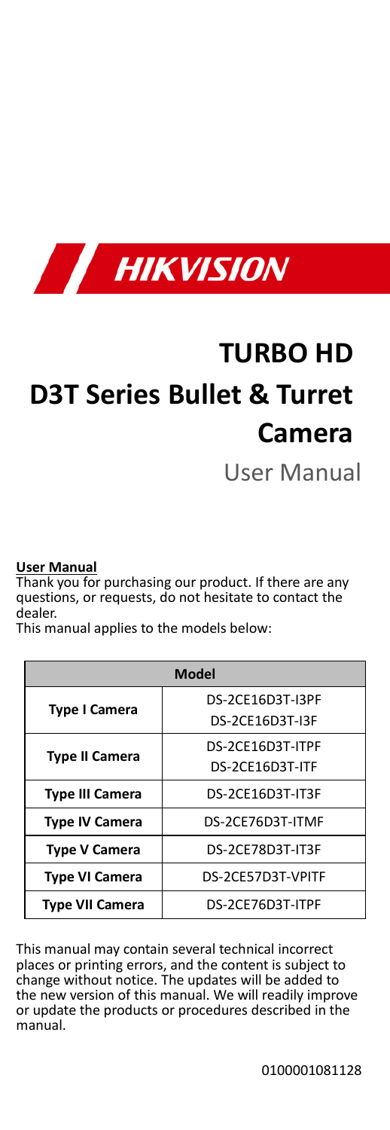

# **TURBO HD D3T Series Bullet & Turret Camera**

User Manual

#### **User Manual**

Thank you for purchasing our product. If there are any questions, or requests, do not hesitate to contact the dealer.

This manual applies to the models below:

| <b>Model</b>           |                   |  |
|------------------------|-------------------|--|
| <b>Type I Camera</b>   | DS-2CF16D3T-I3PF  |  |
|                        | DS-2CE16D3T-I3F   |  |
| <b>Type II Camera</b>  | DS-2CE16D3T-ITPF  |  |
|                        | DS-2CE16D3T-ITF   |  |
| <b>Type III Camera</b> | DS-2CE16D3T-IT3F  |  |
| <b>Type IV Camera</b>  | DS-2CE76D3T-ITMF  |  |
| <b>Type V Camera</b>   | DS-2CE78D3T-IT3F  |  |
| <b>Type VI Camera</b>  | DS-2CE57D3T-VPITF |  |
| <b>Type VII Camera</b> | DS-2CE76D3T-ITPF  |  |

This manual may contain several technical incorrect places or printing errors, and the content is subject to change without notice. The updates will be added to the new version of this manual. We will readily improve or update the products or procedures described in the manual.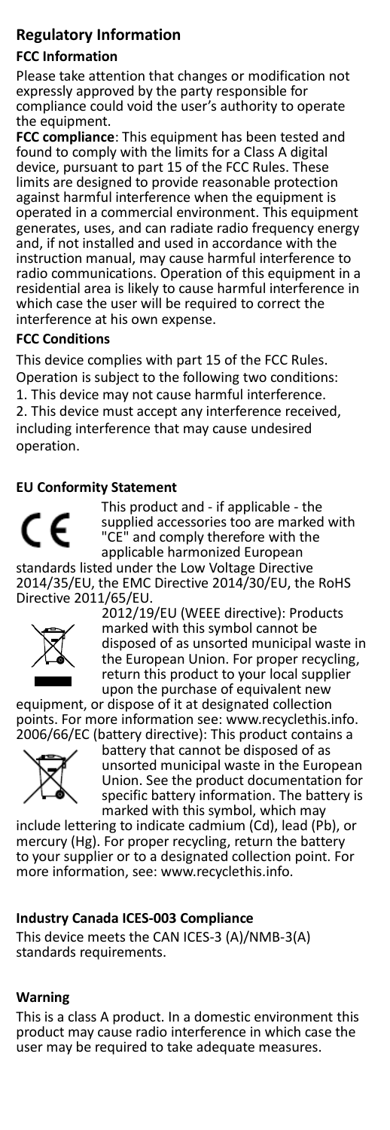#### **Regulatory Information**

#### **FCC Information**

Please take attention that changes or modification not expressly approved by the party responsible for compliance could void the user's authority to operate the equipment.

**FCC compliance**: This equipment has been tested and found to comply with the limits for a Class A digital device, pursuant to part 15 of the FCC Rules. These limits are designed to provide reasonable protection against harmful interference when the equipment is operated in a commercial environment. This equipment generates, uses, and can radiate radio frequency energy and, if not installed and used in accordance with the instruction manual, may cause harmful interference to radio communications. Operation of this equipment in a residential area is likely to cause harmful interference in which case the user will be required to correct the interference at his own expense.

#### **FCC Conditions**

This device complies with part 15 of the FCC Rules. Operation is subject to the following two conditions: 1. This device may not cause harmful interference. 2. This device must accept any interference received, including interference that may cause undesired operation.

#### **EU Conformity Statement**



This product and - if applicable - the supplied accessories too are marked with "CE" and comply therefore with the applicable harmonized European

standards listed under the Low Voltage Directive 2014/35/EU, the EMC Directive 2014/30/EU, the RoHS Directive 2011/65/EU.



2012/19/EU (WEEE directive): Products marked with this symbol cannot be disposed of as unsorted municipal waste in the European Union. For proper recycling. return this product to your local supplier upon the purchase of equivalent new

equipment, or dispose of it at designated collection points. For more information see[: www.recyclethis.info.](http://www.recyclethis.info/) 2006/66/EC (battery directive): This product contains a



battery that cannot be disposed of as unsorted municipal waste in the European Union. See the product documentation for specific battery information. The battery is marked with this symbol, which may

include lettering to indicate cadmium (Cd), lead (Pb), or mercury (Hg). For proper recycling, return the battery to your supplier or to a designated collection point. For more information, see: www.recyclethis.info.

#### **Industry Canada ICES-003 Compliance**

This device meets the CAN ICES-3 (A)/NMB-3(A) standards requirements.

#### **Warning**

This is a class A product. In a domestic environment this product may cause radio interference in which case the user may be required to take adequate measures.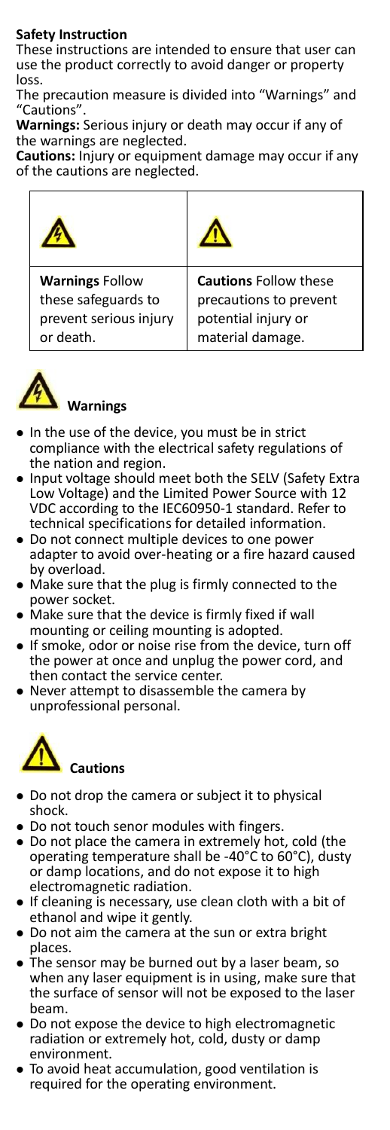#### **Safety Instruction**

These instructions are intended to ensure that user can use the product correctly to avoid danger or property loss.

The precaution measure is divided into "Warnings" and "Cautions".

**Warnings:** Serious injury or death may occur if any of the warnings are neglected.

**Cautions:** Injury or equipment damage may occur if any of the cautions are neglected.

| <b>Warnings Follow</b> | <b>Cautions Follow these</b> |
|------------------------|------------------------------|
| these safeguards to    | precautions to prevent       |
| prevent serious injury | potential injury or          |
| or death.              | material damage.             |



#### **Warnings**

- In the use of the device, you must be in strict compliance with the electrical safety regulations of the nation and region.
- Input voltage should meet both the SELV (Safety Extra Low Voltage) and the Limited Power Source with 12 VDC according to the IEC60950-1 standard. Refer to technical specifications for detailed information.
- Do not connect multiple devices to one power adapter to avoid over-heating or a fire hazard caused by overload.
- Make sure that the plug is firmly connected to the power socket.
- Make sure that the device is firmly fixed if wall mounting or ceiling mounting is adopted.
- If smoke, odor or noise rise from the device, turn off the power at once and unplug the power cord, and then contact the service center.
- Never attempt to disassemble the camera by unprofessional personal.



- Do not drop the camera or subject it to physical shock.
- Do not touch senor modules with fingers.
- Do not place the camera in extremely hot, cold (the operating temperature shall be -40°C to 60°C), dusty or damp locations, and do not expose it to high electromagnetic radiation.
- If cleaning is necessary, use clean cloth with a bit of ethanol and wipe it gently.
- Do not aim the camera at the sun or extra bright places.
- The sensor may be burned out by a laser beam, so when any laser equipment is in using, make sure that the surface of sensor will not be exposed to the laser beam.
- Do not expose the device to high electromagnetic radiation or extremely hot, cold, dusty or damp environment.
- To avoid heat accumulation, good ventilation is required for the operating environment.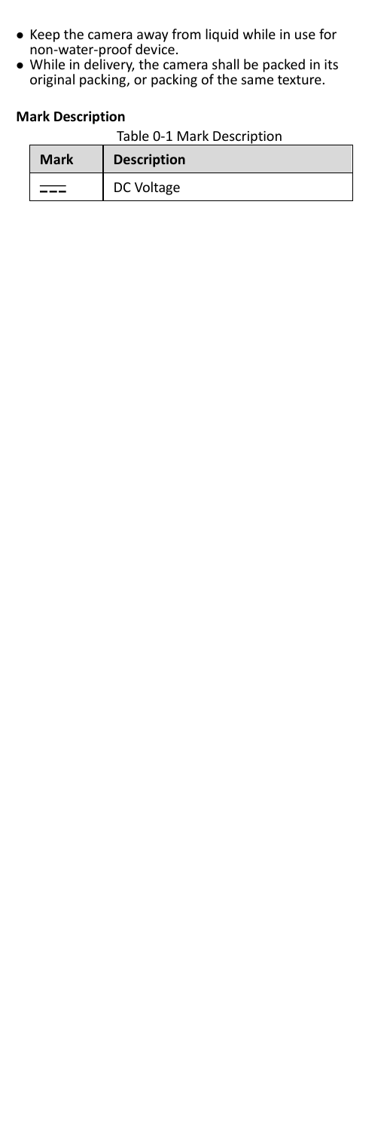- Keep the camera away from liquid while in use for non-water-proof device.
- While in delivery, the camera shall be packed in its original packing, or packing of the same texture.

#### **Mark Description**

| Table 0-1 Mark Description |  |
|----------------------------|--|
|----------------------------|--|

| Mark | <b>Description</b> |
|------|--------------------|
|      | DC Voltage         |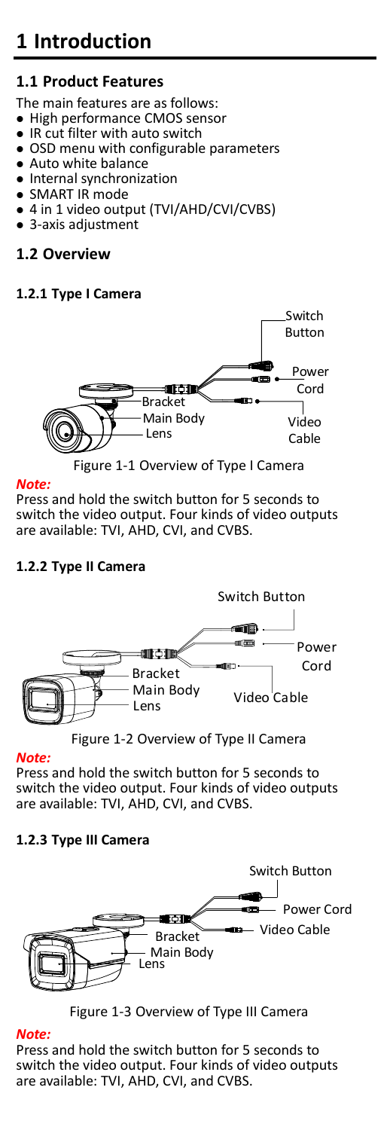# **1 Introduction**

# **1.1 Product Features**

The main features are as follows:

- High performance CMOS sensor
- IR cut filter with auto switch
- OSD menu with configurable parameters
- Auto white balance
- Internal synchronization
- SMART IR mode
- 4 in 1 video output (TVI/AHD/CVI/CVBS)
- 3-axis adjustment

## **1.2 Overview**

### **1.2.1 Type I Camera**



#### *Note:*

Press and hold the switch button for 5 seconds to switch the video output. Four kinds of video outputs are available: TVI, AHD, CVI, and CVBS.

#### **1.2.2 Type II Camera**



Figure 1-2 Overview of Type II Camera

#### *Note:*

Press and hold the switch button for 5 seconds to switch the video output. Four kinds of video outputs are available: TVI, AHD, CVI, and CVBS.

#### **1.2.3 Type III Camera**



Figure 1-3 Overview of Type III Camera

#### *Note:*

Press and hold the switch button for 5 seconds to switch the video output. Four kinds of video outputs are available: TVI, AHD, CVI, and CVBS.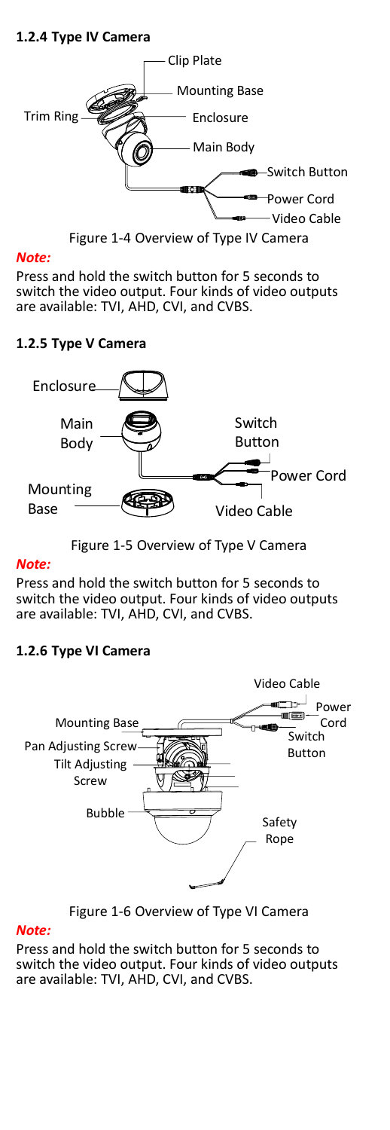#### **1.2.4 Type IV Camera**



Figure 1-4 Overview of Type IV Camera

#### *Note:*

Press and hold the switch button for 5 seconds to switch the video output. Four kinds of video outputs are available: TVI, AHD, CVI, and CVBS.

#### **1.2.5 Type V Camera**



Figure 1-5 Overview of Type V Camera

#### *Note:*

Press and hold the switch button for 5 seconds to switch the video output. Four kinds of video outputs are available: TVI, AHD, CVI, and CVBS.

#### **1.2.6 Type VI Camera**



Figure 1-6 Overview of Type VI Camera

#### *Note:*

Press and hold the switch button for 5 seconds to switch the video output. Four kinds of video outputs are available: TVI, AHD, CVI, and CVBS.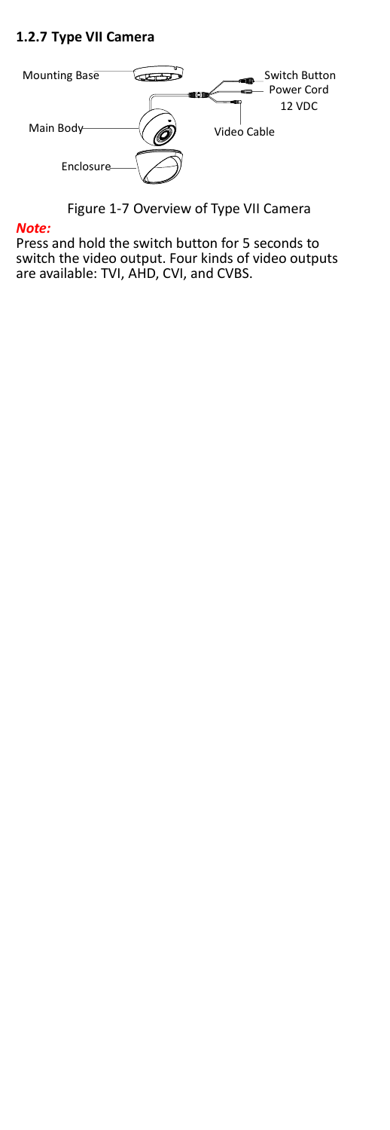#### **1.2.7 Type VII Camera**



Figure 1-7 Overview of Type VII Camera

#### *Note:*

Press and hold the switch button for 5 seconds to switch the video output. Four kinds of video outputs are available: TVI, AHD, CVI, and CVBS.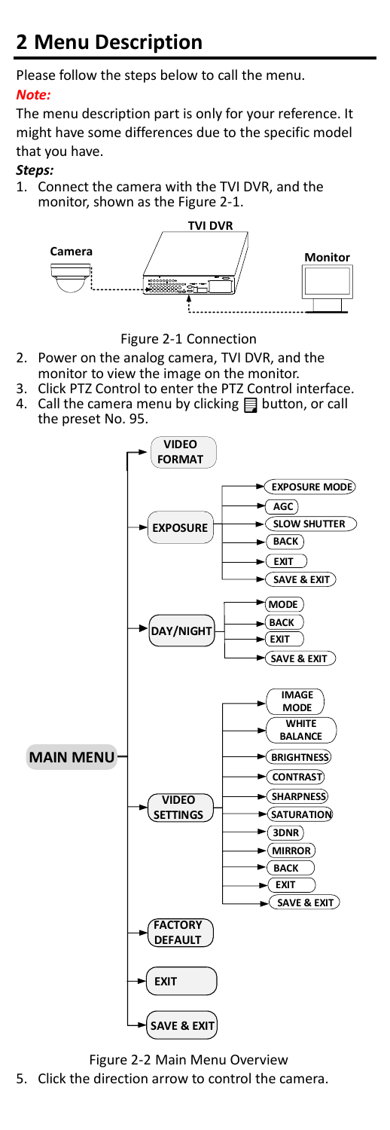# **2 Menu Description**

Please follow the steps below to call the menu.

#### *Note:*

The menu description part is only for your reference. It might have some differences due to the specific model that you have.

#### *Steps:*

1. Connect the camera with the TVI DVR, and the monitor, shown as the [Figure 2](#page-7-0)-1.



Figure 2-1 Connection

- <span id="page-7-0"></span>2. Power on the analog camera, TVI DVR, and the monitor to view the image on the monitor.
- 3. Click PTZ Control to enter the PTZ Control interface.<br>4. Call the camera menu by clicking 目 button, or call
- Call the camera menu by clicking  $\Box$  button, or call the preset No. 95.



Figure 2-2 Main Menu Overview 5. Click the direction arrow to control the camera.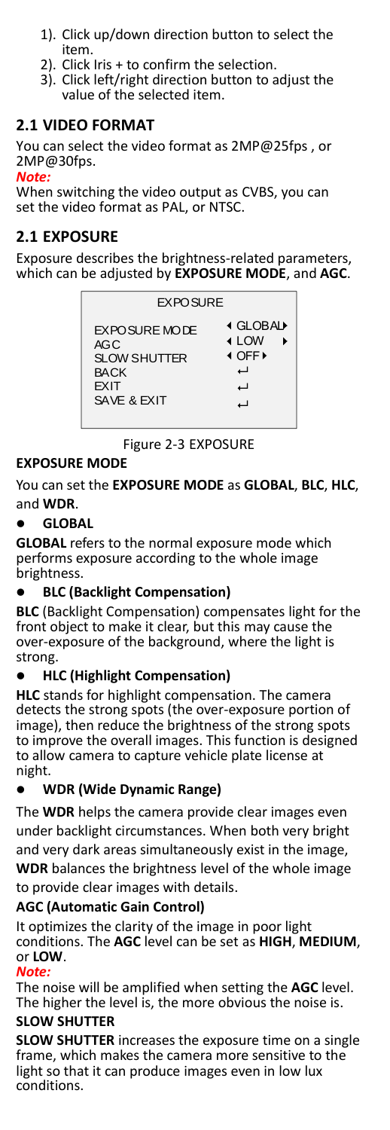- 1). Click up/down direction button to select the item.
- 2). Click Iris + to confirm the selection.
- 3). Click left/right direction button to adjust the value of the selected item.

#### **2.1 VIDEO FORMAT**

You can select the video format as 2MP@25fps , or 2MP@30fps.

#### *Note:*

When switching the video output as CVBS, you can set the video format as PAL, or NTSC.

#### **2.1 EXPOSURE**

Exposure describes the brightness-related parameters, which can be adjusted by **EXPOSURE MODE**, and **AGC**.

| <b>EXPOSURE</b>      |                 |
|----------------------|-----------------|
| <b>EXPOSURE MODE</b> | <b>I GLOBAL</b> |
| AGC                  | <b>∢</b> LOW    |
| <b>SLOW SHUTTER</b>  | <b>I OFF</b>    |
| <b>BACK</b>          | ٮ               |
| <b>FXIT</b>          | ┙               |
| SAVE & EXIT          | u               |

Figure 2-3 EXPOSURE

#### **EXPOSURE MODE**

You can set the **EXPOSURE MODE** as **GLOBAL**, **BLC**, **HLC**, and **WDR**.

#### **GLOBAL**

**GLOBAL** refers to the normal exposure mode which performs exposure according to the whole image brightness.

#### **BLC (Backlight Compensation)**

**BLC** (Backlight Compensation) compensates light for the front object to make it clear, but this may cause the over-exposure of the background, where the light is strong.

#### **HLC (Highlight Compensation)**

**HLC** stands for highlight compensation. The camera detects the strong spots (the over-exposure portion of image), then reduce the brightness of the strong spots to improve the overall images. This function is designed to allow camera to capture vehicle plate license at night.

#### **WDR (Wide Dynamic Range)**

The **WDR** helps the camera provide clear images even under backlight circumstances. When both very bright and very dark areas simultaneously exist in the image, **WDR** balances the brightness level of the whole image to provide clear images with details.

#### **AGC (Automatic Gain Control)**

It optimizes the clarity of the image in poor light conditions. The **AGC** level can be set as **HIGH**, **MEDIUM**, or **LOW**.

#### *Note:*

The noise will be amplified when setting the **AGC** level. The higher the level is, the more obvious the noise is.

#### **SLOW SHUTTER**

**SLOW SHUTTER** increases the exposure time on a single frame, which makes the camera more sensitive to the light so that it can produce images even in low lux conditions.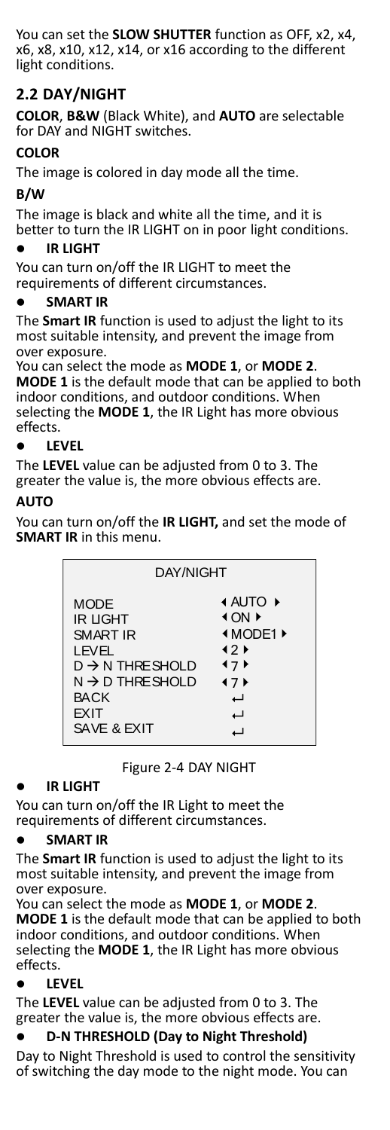You can set the **SLOW SHUTTER** function as OFF, x2, x4, x6, x8, x10, x12, x14, or x16 according to the different light conditions.

### **2.2 DAY/NIGHT**

**COLOR**, **B&W** (Black White), and **AUTO** are selectable for DAY and NIGHT switches.

#### **COLOR**

The image is colored in day mode all the time.

#### **B/W**

The image is black and white all the time, and it is better to turn the IR LIGHT on in poor light conditions.

#### **IR LIGHT**

You can turn on/off the IR LIGHT to meet the requirements of different circumstances.

#### **SMART IR**

The **Smart IR** function is used to adjust the light to its most suitable intensity, and prevent the image from over exposure.

You can select the mode as **MODE 1**, or **MODE 2**. **MODE 1** is the default mode that can be applied to both indoor conditions, and outdoor conditions. When selecting the **MODE 1**, the IR Light has more obvious effects.

#### **LEVEL**

The **LEVEL** value can be adjusted from 0 to 3. The greater the value is, the more obvious effects are.

#### **AUTO**

You can turn on/off the **IR LIGHT,** and set the mode of **SMART IR** in this menu.

| DAY/NIGHT                                                                                                                                                               |                                                                                              |
|-------------------------------------------------------------------------------------------------------------------------------------------------------------------------|----------------------------------------------------------------------------------------------|
| <b>MODE</b><br><b>IR LIGHT</b><br><b>SMART IR</b><br>LEVEL<br>$D \rightarrow N$ THRE SHOLD<br>$N \rightarrow D$ THRE SHOLD<br><b>BACK</b><br><b>EXIT</b><br>SAVE & EXIT | <b>4 AUTO ▶</b><br>4 ON F<br><b>IMODE1</b><br>$12 \times$<br>17<br>47 <sub>b</sub><br>ٮ<br>ب |

Figure 2-4 DAY NIGHT

#### **IR LIGHT**

You can turn on/off the IR Light to meet the requirements of different circumstances.

#### **SMART IR**

The **Smart IR** function is used to adjust the light to its most suitable intensity, and prevent the image from over exposure.

You can select the mode as **MODE 1**, or **MODE 2**. **MODE 1** is the default mode that can be applied to both indoor conditions, and outdoor conditions. When selecting the **MODE 1**, the IR Light has more obvious effects.

#### **LEVEL**

The **LEVEL** value can be adjusted from 0 to 3. The greater the value is, the more obvious effects are.

#### **D-N THRESHOLD (Day to Night Threshold)**

Day to Night Threshold is used to control the sensitivity of switching the day mode to the night mode. You can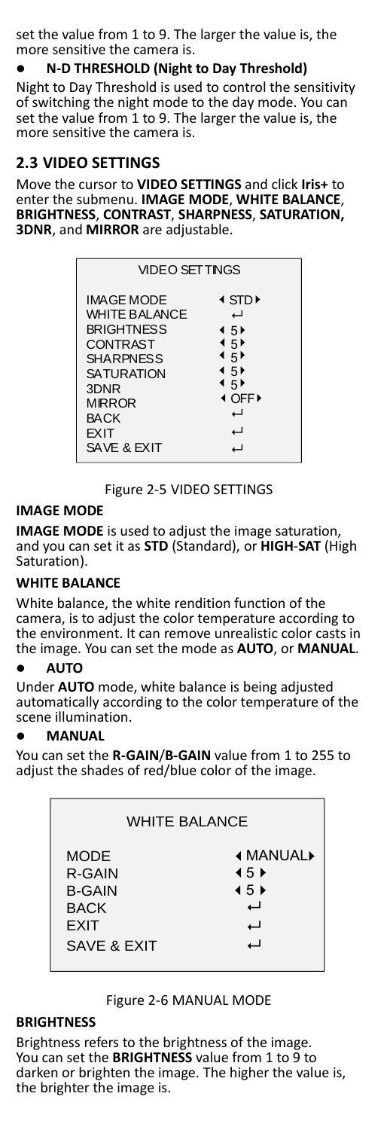set the value from 1 to 9. The larger the value is, the more sensitive the camera is.

#### **N-D THRESHOLD (Night to Day Threshold)**

Night to Day Threshold is used to control the sensitivity of switching the night mode to the day mode. You can set the value from 1 to 9. The larger the value is, the more sensitive the camera is.

#### **2.3 VIDEO SETTINGS**

Move the cursor to **VIDEO SETTINGS** and click **Iris+** to enter the submenu. **IMAGE MODE**, **WHITE BALANCE**, **BRIGHTNESS**, **CONTRAST**, **SHARPNESS**, **SATURATION, 3DNR**, and **MIRROR** are adjustable.

| <b>VIDEO SETTINGS</b>                                                                                                                                                                     |                                                                                                                  |
|-------------------------------------------------------------------------------------------------------------------------------------------------------------------------------------------|------------------------------------------------------------------------------------------------------------------|
| IMAGE MODE<br><b>WHITE BALANCE</b><br><b>BRIGHTNESS</b><br><b>CONTRAST</b><br><b>SHARPNESS</b><br><b>SATURATION</b><br>3DNR<br><b>MIRROR</b><br><b>BACK</b><br><b>EXIT</b><br>SAVE & EXIT | I STD <del>D</del><br>ب<br>$\overline{45}$<br>4.5<br>⊀ 5 ⊧<br>$\overline{45}$<br>⊀ 5 ⊧<br><b>I OFF</b><br>ب<br>┙ |

Figure 2-5 VIDEO SETTINGS

#### **IMAGE MODE**

**IMAGE MODE** is used to adjust the image saturation, and you can set it as **STD** (Standard), or **HIGH**-**SAT** (High Saturation).

#### **WHITE BALANCE**

White balance, the white rendition function of the camera, is to adjust the color temperature according to the environment. It can remove unrealistic color casts in the image. You can set the mode as **AUTO**, or **MANUAL**.

#### **AUTO**

Under **AUTO** mode, white balance is being adjusted automatically according to the color temperature of the scene illumination.

#### **MANUAL**

You can set the **R-GAIN**/**B-GAIN** value from 1 to 255 to adjust the shades of red/blue color of the image.

| <b>WHITE BALANCE</b>                                                         |                                                                                   |  |
|------------------------------------------------------------------------------|-----------------------------------------------------------------------------------|--|
| <b>MODE</b><br>R-GAIN<br><b>B-GAIN</b><br><b>BACK</b><br>FXIT<br>SAVE & FXIT | <b>∢ MANUAL</b><br>$\leftarrow$ 5 $\rightarrow$<br>$\overline{45}$<br>ب<br>ب<br>⊣ |  |
|                                                                              |                                                                                   |  |

#### Figure 2-6 MANUAL MODE

#### **BRIGHTNESS**

Brightness refers to the brightness of the image. You can set the **BRIGHTNESS** value from 1 to 9 to darken or brighten the image. The higher the value is, the brighter the image is.